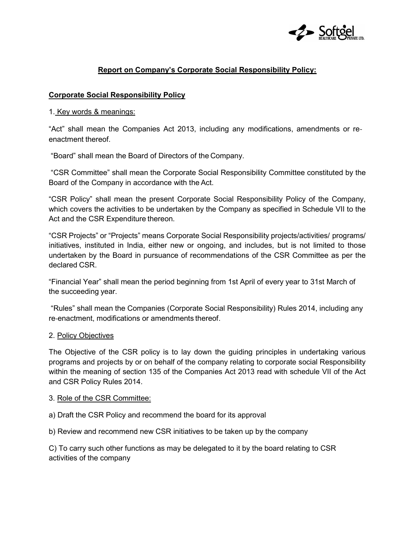

# Report on Company's Corporate Social Responsibility Policy:

### Corporate Social Responsibility Policy

#### 1. Key words & meanings:

"Act" shall mean the Companies Act 2013, including any modifications, amendments or re‐ enactment thereof.

"Board" shall mean the Board of Directors of the Company.

 "CSR Committee" shall mean the Corporate Social Responsibility Committee constituted by the Board of the Company in accordance with the Act.

"CSR Policy" shall mean the present Corporate Social Responsibility Policy of the Company, which covers the activities to be undertaken by the Company as specified in Schedule VII to the Act and the CSR Expenditure thereon.

"CSR Projects" or "Projects" means Corporate Social Responsibility projects/activities/ programs/ initiatives, instituted in India, either new or ongoing, and includes, but is not limited to those undertaken by the Board in pursuance of recommendations of the CSR Committee as per the declared CSR.

"Financial Year" shall mean the period beginning from 1st April of every year to 31st March of the succeeding year.

 "Rules" shall mean the Companies (Corporate Social Responsibility) Rules 2014, including any re‐enactment, modifications or amendments thereof.

#### 2. Policy Objectives

The Objective of the CSR policy is to lay down the guiding principles in undertaking various programs and projects by or on behalf of the company relating to corporate social Responsibility within the meaning of section 135 of the Companies Act 2013 read with schedule VII of the Act and CSR Policy Rules 2014.

#### 3. Role of the CSR Committee:

a) Draft the CSR Policy and recommend the board for its approval

b) Review and recommend new CSR initiatives to be taken up by the company

C) To carry such other functions as may be delegated to it by the board relating to CSR activities of the company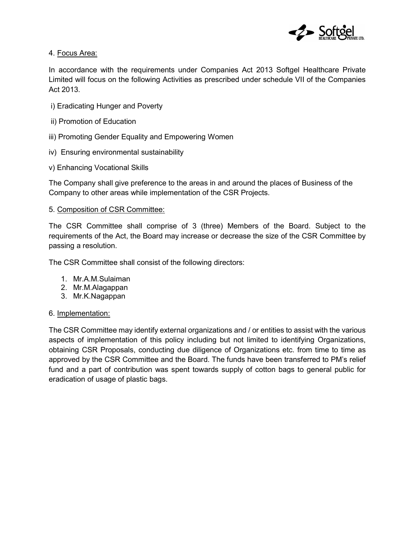

## 4. Focus Area:

In accordance with the requirements under Companies Act 2013 Softgel Healthcare Private Limited will focus on the following Activities as prescribed under schedule VII of the Companies Act 2013.

- i) Eradicating Hunger and Poverty
- ii) Promotion of Education
- iii) Promoting Gender Equality and Empowering Women
- iv) Ensuring environmental sustainability
- v) Enhancing Vocational Skills

The Company shall give preference to the areas in and around the places of Business of the Company to other areas while implementation of the CSR Projects.

### 5. Composition of CSR Committee:

The CSR Committee shall comprise of 3 (three) Members of the Board. Subject to the requirements of the Act, the Board may increase or decrease the size of the CSR Committee by passing a resolution.

The CSR Committee shall consist of the following directors:

- 1. Mr.A.M.Sulaiman
- 2. Mr.M.Alagappan
- 3. Mr.K.Nagappan

## 6. Implementation:

The CSR Committee may identify external organizations and / or entities to assist with the various aspects of implementation of this policy including but not limited to identifying Organizations, obtaining CSR Proposals, conducting due diligence of Organizations etc. from time to time as approved by the CSR Committee and the Board. The funds have been transferred to PM's relief fund and a part of contribution was spent towards supply of cotton bags to general public for eradication of usage of plastic bags.